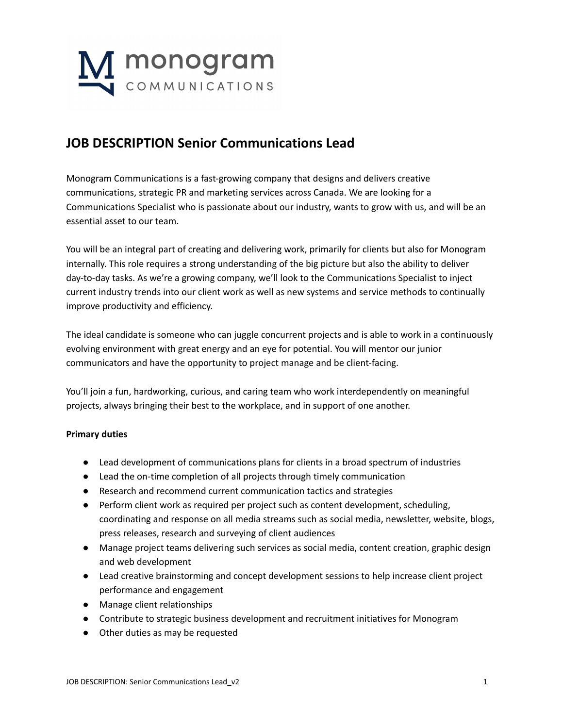

## **JOB DESCRIPTION Senior Communications Lead**

Monogram Communications is a fast-growing company that designs and delivers creative communications, strategic PR and marketing services across Canada. We are looking for a Communications Specialist who is passionate about our industry, wants to grow with us, and will be an essential asset to our team.

You will be an integral part of creating and delivering work, primarily for clients but also for Monogram internally. This role requires a strong understanding of the big picture but also the ability to deliver day-to-day tasks. As we're a growing company, we'll look to the Communications Specialist to inject current industry trends into our client work as well as new systems and service methods to continually improve productivity and efficiency.

The ideal candidate is someone who can juggle concurrent projects and is able to work in a continuously evolving environment with great energy and an eye for potential. You will mentor our junior communicators and have the opportunity to project manage and be client-facing.

You'll join a fun, hardworking, curious, and caring team who work interdependently on meaningful projects, always bringing their best to the workplace, and in support of one another.

## **Primary duties**

- Lead development of communications plans for clients in a broad spectrum of industries
- Lead the on-time completion of all projects through timely communication
- Research and recommend current communication tactics and strategies
- Perform client work as required per project such as content development, scheduling, coordinating and response on all media streams such as social media, newsletter, website, blogs, press releases, research and surveying of client audiences
- Manage project teams delivering such services as social media, content creation, graphic design and web development
- Lead creative brainstorming and concept development sessions to help increase client project performance and engagement
- Manage client relationships
- Contribute to strategic business development and recruitment initiatives for Monogram
- Other duties as may be requested